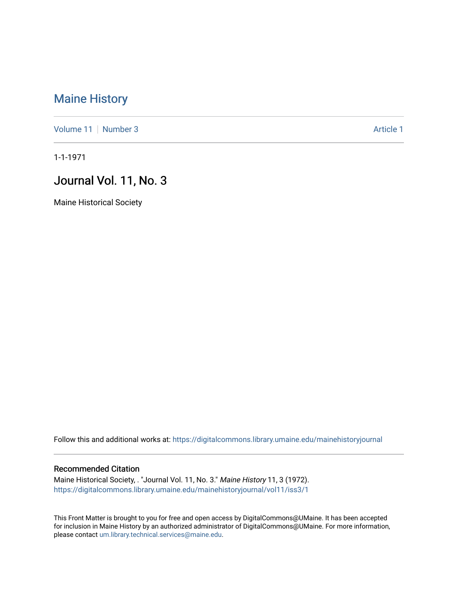## [Maine History](https://digitalcommons.library.umaine.edu/mainehistoryjournal)

[Volume 11](https://digitalcommons.library.umaine.edu/mainehistoryjournal/vol11) [Number 3](https://digitalcommons.library.umaine.edu/mainehistoryjournal/vol11/iss3) Article 1

1-1-1971

## Journal Vol. 11, No. 3

Maine Historical Society

Follow this and additional works at: [https://digitalcommons.library.umaine.edu/mainehistoryjournal](https://digitalcommons.library.umaine.edu/mainehistoryjournal?utm_source=digitalcommons.library.umaine.edu%2Fmainehistoryjournal%2Fvol11%2Fiss3%2F1&utm_medium=PDF&utm_campaign=PDFCoverPages) 

## Recommended Citation

Maine Historical Society, . "Journal Vol. 11, No. 3." Maine History 11, 3 (1972). [https://digitalcommons.library.umaine.edu/mainehistoryjournal/vol11/iss3/1](https://digitalcommons.library.umaine.edu/mainehistoryjournal/vol11/iss3/1?utm_source=digitalcommons.library.umaine.edu%2Fmainehistoryjournal%2Fvol11%2Fiss3%2F1&utm_medium=PDF&utm_campaign=PDFCoverPages)

This Front Matter is brought to you for free and open access by DigitalCommons@UMaine. It has been accepted for inclusion in Maine History by an authorized administrator of DigitalCommons@UMaine. For more information, please contact [um.library.technical.services@maine.edu.](mailto:um.library.technical.services@maine.edu)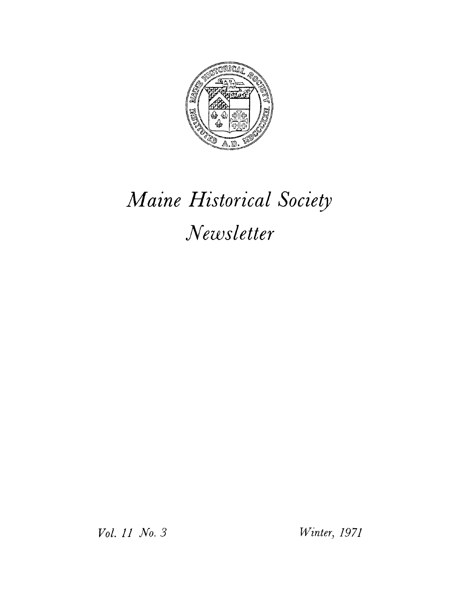

## *Maine Historical Society Newsletter*

*Vol. 11 No. 3 Winter, 1971*